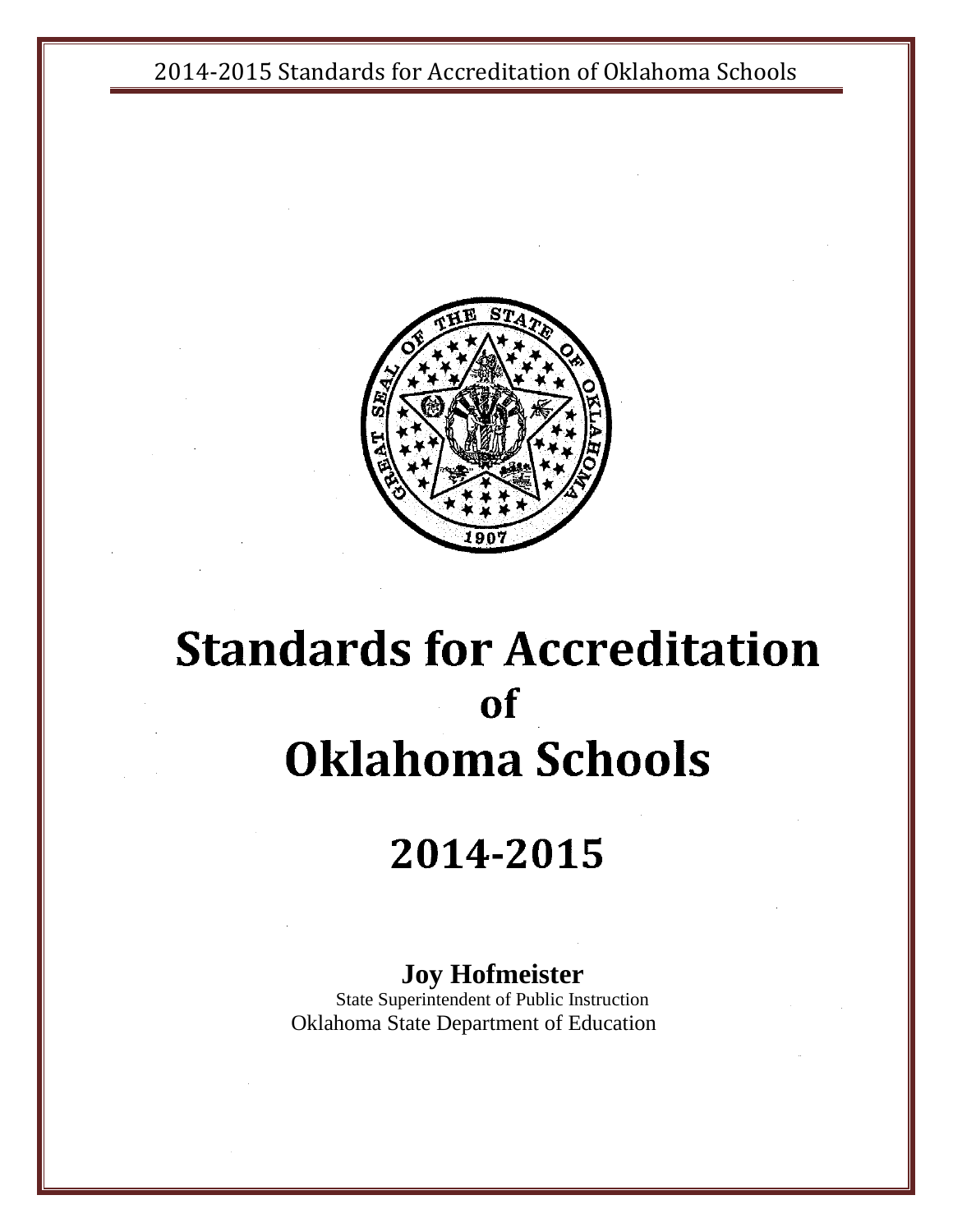

# **Standards for Accreditation of Oklahoma Schools**

# 2014-2015

### **Joy Hofmeister**

State Superintendent of Public Instruction Oklahoma State Department of Education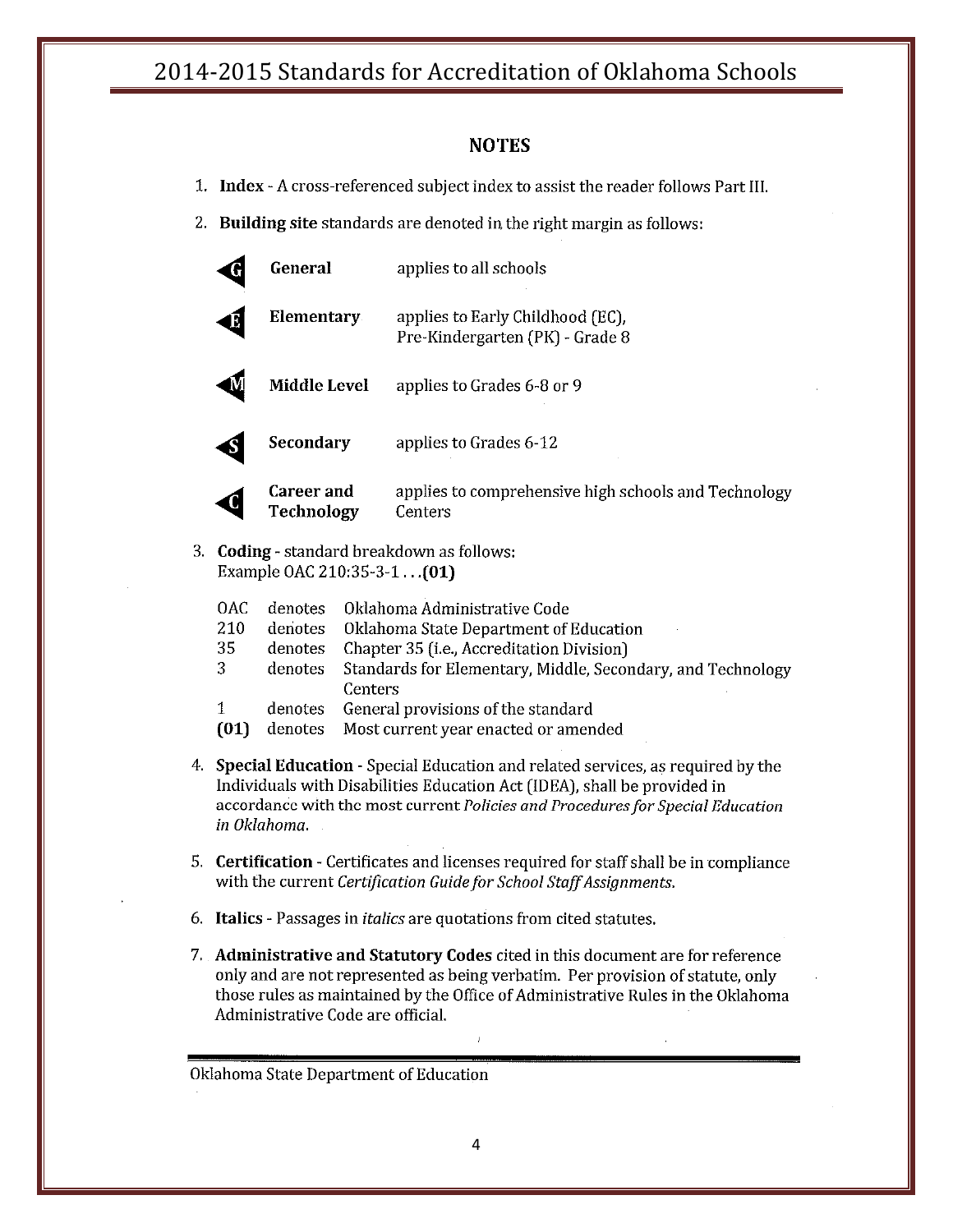#### **NOTES**

- 1. Index A cross-referenced subject index to assist the reader follows Part III.
- 2. Building site standards are denoted in the right margin as follows:

| General                  | applies to all schools                                              |
|--------------------------|---------------------------------------------------------------------|
| Elementary               | applies to Early Childhood (EC),<br>Pre-Kindergarten (PK) - Grade 8 |
| <b>Middle Level</b>      | applies to Grades 6-8 or 9                                          |
| Secondary                | applies to Grades 6-12                                              |
| Career and<br>Technology | applies to comprehensive high schools and Technology<br>Centers     |

3. Coding - standard breakdown as follows: Example OAC 210:35-3-1... (01)

| OAC.         | denotes Oklahoma Administrative Code                                |
|--------------|---------------------------------------------------------------------|
| 210          | denotes Oklahoma State Department of Education                      |
| 35           | denotes Chapter 35 (i.e., Accreditation Division)                   |
| 3            | denotes Standards for Elementary, Middle, Secondary, and Technology |
|              | <b>Centers</b>                                                      |
| $\mathbf{1}$ | denotes General provisions of the standard                          |
| (01)         | denotes Most current year enacted or amended                        |

- 4. Special Education Special Education and related services, as required by the Individuals with Disabilities Education Act (IDEA), shall be provided in accordance with the most current Policies and Procedures for Special Education in Oklahoma.
- 5. Certification Certificates and licenses required for staff shall be in compliance with the current Certification Guide for School Staff Assignments.
- 6. Italics Passages in *italics* are quotations from cited statutes.
- 7. Administrative and Statutory Codes cited in this document are for reference only and are not represented as being verbatim. Per provision of statute, only those rules as maintained by the Office of Administrative Rules in the Oklahoma Administrative Code are official.

 $\bar{L}$ 

Oklahoma State Department of Education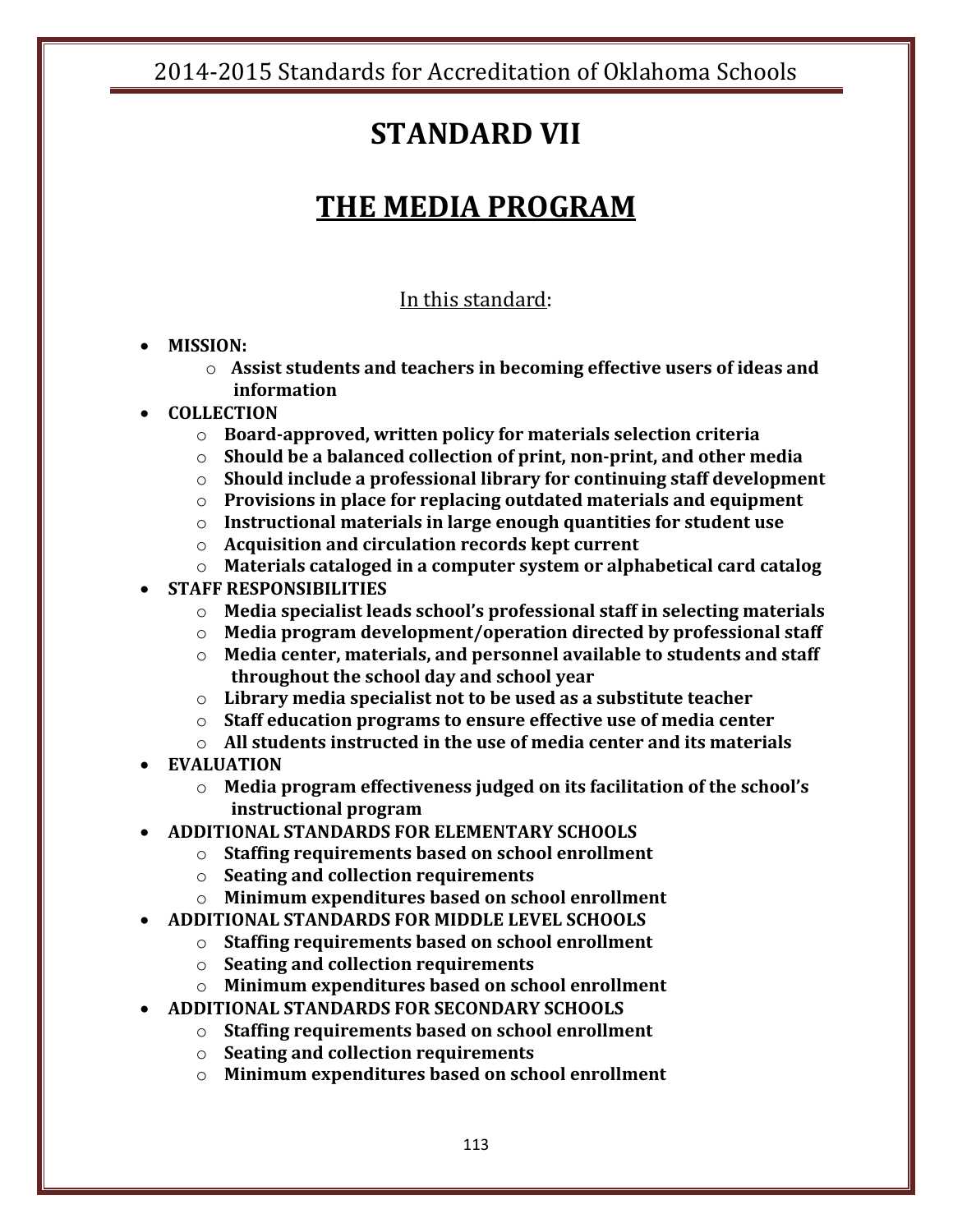## **STANDARD VII**

## **THE MEDIA PROGRAM**

### In this standard:

### **MISSION:**

o **Assist students and teachers in becoming effective users of ideas and information**

### **COLLECTION**

- o **Board-approved, written policy for materials selection criteria**
- o **Should be a balanced collection of print, non-print, and other media**
- o **Should include a professional library for continuing staff development**
- o **Provisions in place for replacing outdated materials and equipment**
- o **Instructional materials in large enough quantities for student use**
- o **Acquisition and circulation records kept current**
- o **Materials cataloged in a computer system or alphabetical card catalog**

### **STAFF RESPONSIBILITIES**

- o **Media specialist leads school's professional staff in selecting materials**
- o **Media program development/operation directed by professional staff**
- o **Media center, materials, and personnel available to students and staff throughout the school day and school year**
- o **Library media specialist not to be used as a substitute teacher**
- o **Staff education programs to ensure effective use of media center**
- o **All students instructed in the use of media center and its materials**
- **EVALUATION**
	- o **Media program effectiveness judged on its facilitation of the school's instructional program**
- **ADDITIONAL STANDARDS FOR ELEMENTARY SCHOOLS**
	- o **Staffing requirements based on school enrollment**
	- o **Seating and collection requirements**
	- o **Minimum expenditures based on school enrollment**
- **ADDITIONAL STANDARDS FOR MIDDLE LEVEL SCHOOLS**
	- o **Staffing requirements based on school enrollment**
	- o **Seating and collection requirements**
	- o **Minimum expenditures based on school enrollment**
- **ADDITIONAL STANDARDS FOR SECONDARY SCHOOLS**
	- o **Staffing requirements based on school enrollment**
	- o **Seating and collection requirements**
	- o **Minimum expenditures based on school enrollment**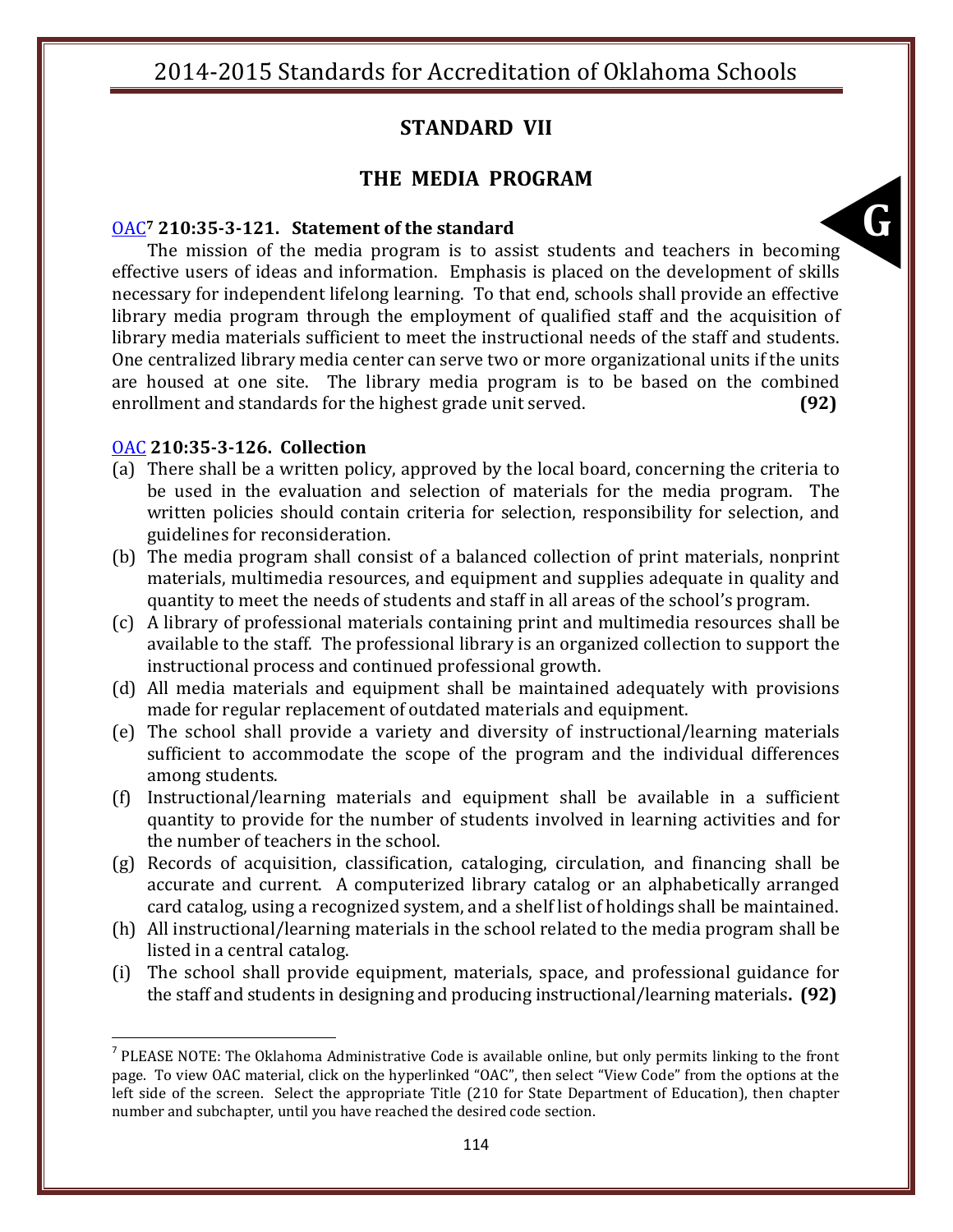### **STANDARD VII**

### **THE MEDIA PROGRAM**

#### [OAC](http://www.oar.state.ok.us/oar/codedoc02.nsf/frmMain?OpenFrameSet&Frame=Main&Src=_75tnm2shfcdnm8pb4dthj0chedppmcbq8dtmmak31ctijujrgcln50ob7ckj42tbkdt374obdcli00_)**<sup>7</sup> 210:35-3-121. Statement of the standard**

**G**<br>Gills The mission of the media program is to assist students and teachers in becoming effective users of ideas and information. Emphasis is placed on the development of skills necessary for independent lifelong learning. To that end, schools shall provide an effective library media program through the employment of qualified staff and the acquisition of library media materials sufficient to meet the instructional needs of the staff and students. One centralized library media center can serve two or more organizational units if the units are housed at one site. The library media program is to be based on the combined enrollment and standards for the highest grade unit served. **(92)**

#### [OAC](http://www.oar.state.ok.us/oar/codedoc02.nsf/frmMain?OpenFrameSet&Frame=Main&Src=_75tnm2shfcdnm8pb4dthj0chedppmcbq8dtmmak31ctijujrgcln50ob7ckj42tbkdt374obdcli00_) **210:35-3-126. Collection**

 $\overline{\phantom{a}}$ 

- (a) There shall be a written policy, approved by the local board, concerning the criteria to be used in the evaluation and selection of materials for the media program. The written policies should contain criteria for selection, responsibility for selection, and guidelines for reconsideration.
- (b) The media program shall consist of a balanced collection of print materials, nonprint materials, multimedia resources, and equipment and supplies adequate in quality and quantity to meet the needs of students and staff in all areas of the school's program.
- (c) A library of professional materials containing print and multimedia resources shall be available to the staff. The professional library is an organized collection to support the instructional process and continued professional growth.
- (d) All media materials and equipment shall be maintained adequately with provisions made for regular replacement of outdated materials and equipment.
- (e) The school shall provide a variety and diversity of instructional/learning materials sufficient to accommodate the scope of the program and the individual differences among students.
- (f) Instructional/learning materials and equipment shall be available in a sufficient quantity to provide for the number of students involved in learning activities and for the number of teachers in the school.
- (g) Records of acquisition, classification, cataloging, circulation, and financing shall be accurate and current. A computerized library catalog or an alphabetically arranged card catalog, using a recognized system, and a shelf list of holdings shall be maintained.
- (h) All instructional/learning materials in the school related to the media program shall be listed in a central catalog.
- (i) The school shall provide equipment, materials, space, and professional guidance for the staff and students in designing and producing instructional/learning materials**. (92)**

<sup>&</sup>lt;sup>7</sup> PLEASE NOTE: The Oklahoma Administrative Code is available online, but only permits linking to the front page. To view OAC material, click on the hyperlinked "OAC", then select "View Code" from the options at the left side of the screen. Select the appropriate Title (210 for State Department of Education), then chapter number and subchapter, until you have reached the desired code section.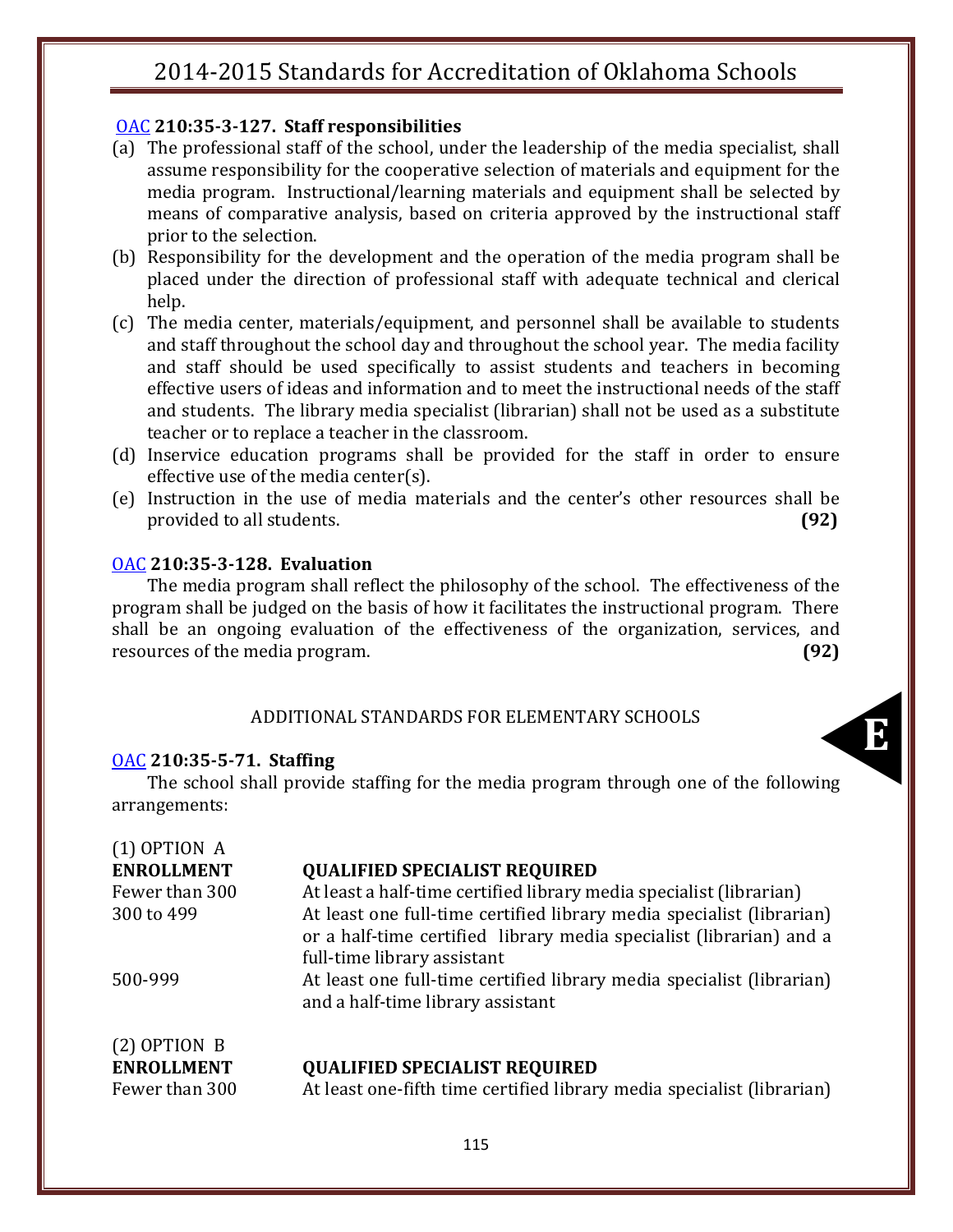### [OAC](http://www.oar.state.ok.us/oar/codedoc02.nsf/frmMain?OpenFrameSet&Frame=Main&Src=_75tnm2shfcdnm8pb4dthj0chedppmcbq8dtmmak31ctijujrgcln50ob7ckj42tbkdt374obdcli00_) **210:35-3-127. Staff responsibilities**

- (a) The professional staff of the school, under the leadership of the media specialist, shall assume responsibility for the cooperative selection of materials and equipment for the media program. Instructional/learning materials and equipment shall be selected by means of comparative analysis, based on criteria approved by the instructional staff prior to the selection.
- (b) Responsibility for the development and the operation of the media program shall be placed under the direction of professional staff with adequate technical and clerical help.
- (c) The media center, materials/equipment, and personnel shall be available to students and staff throughout the school day and throughout the school year. The media facility and staff should be used specifically to assist students and teachers in becoming effective users of ideas and information and to meet the instructional needs of the staff and students. The library media specialist (librarian) shall not be used as a substitute teacher or to replace a teacher in the classroom.
- (d) Inservice education programs shall be provided for the staff in order to ensure effective use of the media center(s).
- (e) Instruction in the use of media materials and the center's other resources shall be provided to all students. **(92)**

### [OAC](http://www.oar.state.ok.us/oar/codedoc02.nsf/frmMain?OpenFrameSet&Frame=Main&Src=_75tnm2shfcdnm8pb4dthj0chedppmcbq8dtmmak31ctijujrgcln50ob7ckj42tbkdt374obdcli00_) **210:35-3-128. Evaluation**

The media program shall reflect the philosophy of the school. The effectiveness of the program shall be judged on the basis of how it facilitates the instructional program. There shall be an ongoing evaluation of the effectiveness of the organization, services, and resources of the media program. **(92)**

#### ADDITIONAL STANDARDS FOR ELEMENTARY SCHOOLS

#### [OAC](http://www.oar.state.ok.us/oar/codedoc02.nsf/frmMain?OpenFrameSet&Frame=Main&Src=_75tnm2shfcdnm8pb4dthj0chedppmcbq8dtmmak31ctijujrgcln50ob7ckj42tbkdt374obdcli00_) **210:35-5-71. Staffing**

**E**<br> **E**<br> **E**<br> **E** The school shall provide staffing for the media program through one of the following arrangements:

| $(1)$ OPTION A    |                                                                                                                                                                             |
|-------------------|-----------------------------------------------------------------------------------------------------------------------------------------------------------------------------|
| <b>ENROLLMENT</b> | <b>QUALIFIED SPECIALIST REQUIRED</b>                                                                                                                                        |
| Fewer than 300    | At least a half-time certified library media specialist (librarian)                                                                                                         |
| 300 to 499        | At least one full-time certified library media specialist (librarian)<br>or a half-time certified library media specialist (librarian) and a<br>full-time library assistant |
| 500-999           | At least one full-time certified library media specialist (librarian)<br>and a half-time library assistant                                                                  |
| $(2)$ OPTION B    |                                                                                                                                                                             |
| <b>ENROLLMENT</b> | <b>QUALIFIED SPECIALIST REQUIRED</b>                                                                                                                                        |
| Fewer than 300    | At least one-fifth time certified library media specialist (librarian)                                                                                                      |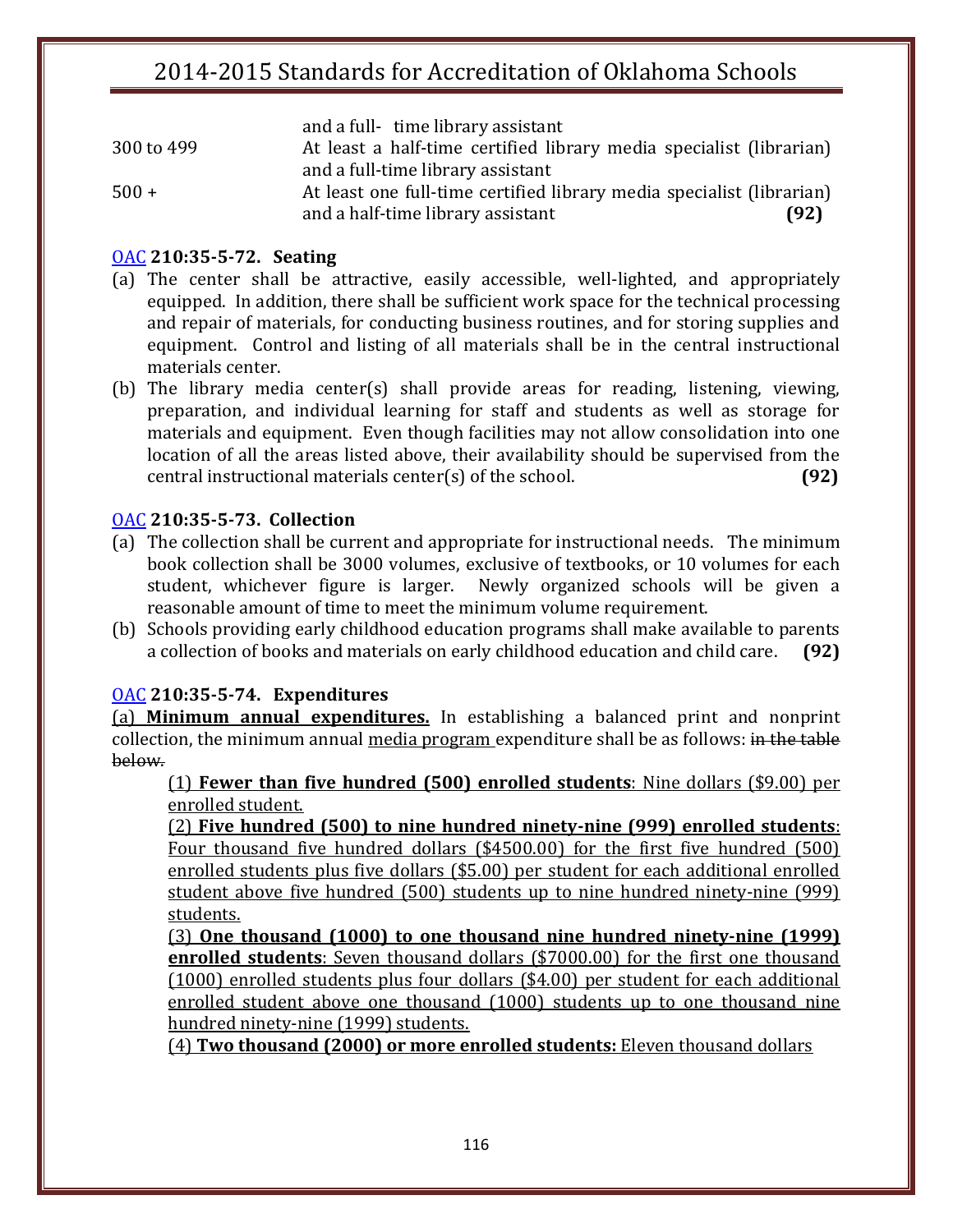|            | and a full-time library assistant                                     |      |
|------------|-----------------------------------------------------------------------|------|
| 300 to 499 | At least a half-time certified library media specialist (librarian)   |      |
|            | and a full-time library assistant                                     |      |
| $500 +$    | At least one full-time certified library media specialist (librarian) |      |
|            | and a half-time library assistant                                     | (92) |

### [OAC](http://www.oar.state.ok.us/oar/codedoc02.nsf/frmMain?OpenFrameSet&Frame=Main&Src=_75tnm2shfcdnm8pb4dthj0chedppmcbq8dtmmak31ctijujrgcln50ob7ckj42tbkdt374obdcli00_) **210:35-5-72. Seating**

- (a) The center shall be attractive, easily accessible, well-lighted, and appropriately equipped. In addition, there shall be sufficient work space for the technical processing and repair of materials, for conducting business routines, and for storing supplies and equipment. Control and listing of all materials shall be in the central instructional materials center.
- (b) The library media center(s) shall provide areas for reading, listening, viewing, preparation, and individual learning for staff and students as well as storage for materials and equipment. Even though facilities may not allow consolidation into one location of all the areas listed above, their availability should be supervised from the central instructional materials center(s) of the school. **(92)**

### [OAC](http://www.oar.state.ok.us/oar/codedoc02.nsf/frmMain?OpenFrameSet&Frame=Main&Src=_75tnm2shfcdnm8pb4dthj0chedppmcbq8dtmmak31ctijujrgcln50ob7ckj42tbkdt374obdcli00_) **210:35-5-73. Collection**

- (a) The collection shall be current and appropriate for instructional needs. The minimum book collection shall be 3000 volumes, exclusive of textbooks, or 10 volumes for each student, whichever figure is larger. Newly organized schools will be given a reasonable amount of time to meet the minimum volume requirement.
- (b) Schools providing early childhood education programs shall make available to parents a collection of books and materials on early childhood education and child care. **(92)**

#### [OAC](http://www.oar.state.ok.us/oar/codedoc02.nsf/frmMain?OpenFrameSet&Frame=Main&Src=_75tnm2shfcdnm8pb4dthj0chedppmcbq8dtmmak31ctijujrgcln50ob7ckj42tbkdt374obdcli00_) **210:35-5-74. Expenditures**

(a) **Minimum annual expenditures.** In establishing a balanced print and nonprint collection, the minimum annual media program expenditure shall be as follows: in the table below.

(1) **Fewer than five hundred (500) enrolled students**: Nine dollars (\$9.00) per enrolled student.

(2) **Five hundred (500) to nine hundred ninety-nine (999) enrolled students**: Four thousand five hundred dollars (\$4500.00) for the first five hundred (500) enrolled students plus five dollars (\$5.00) per student for each additional enrolled student above five hundred (500) students up to nine hundred ninety-nine (999) students.

(3) **One thousand (1000) to one thousand nine hundred ninety-nine (1999) enrolled students**: Seven thousand dollars (\$7000.00) for the first one thousand (1000) enrolled students plus four dollars (\$4.00) per student for each additional enrolled student above one thousand (1000) students up to one thousand nine hundred ninety-nine (1999) students.

(4) **Two thousand (2000) or more enrolled students:** Eleven thousand dollars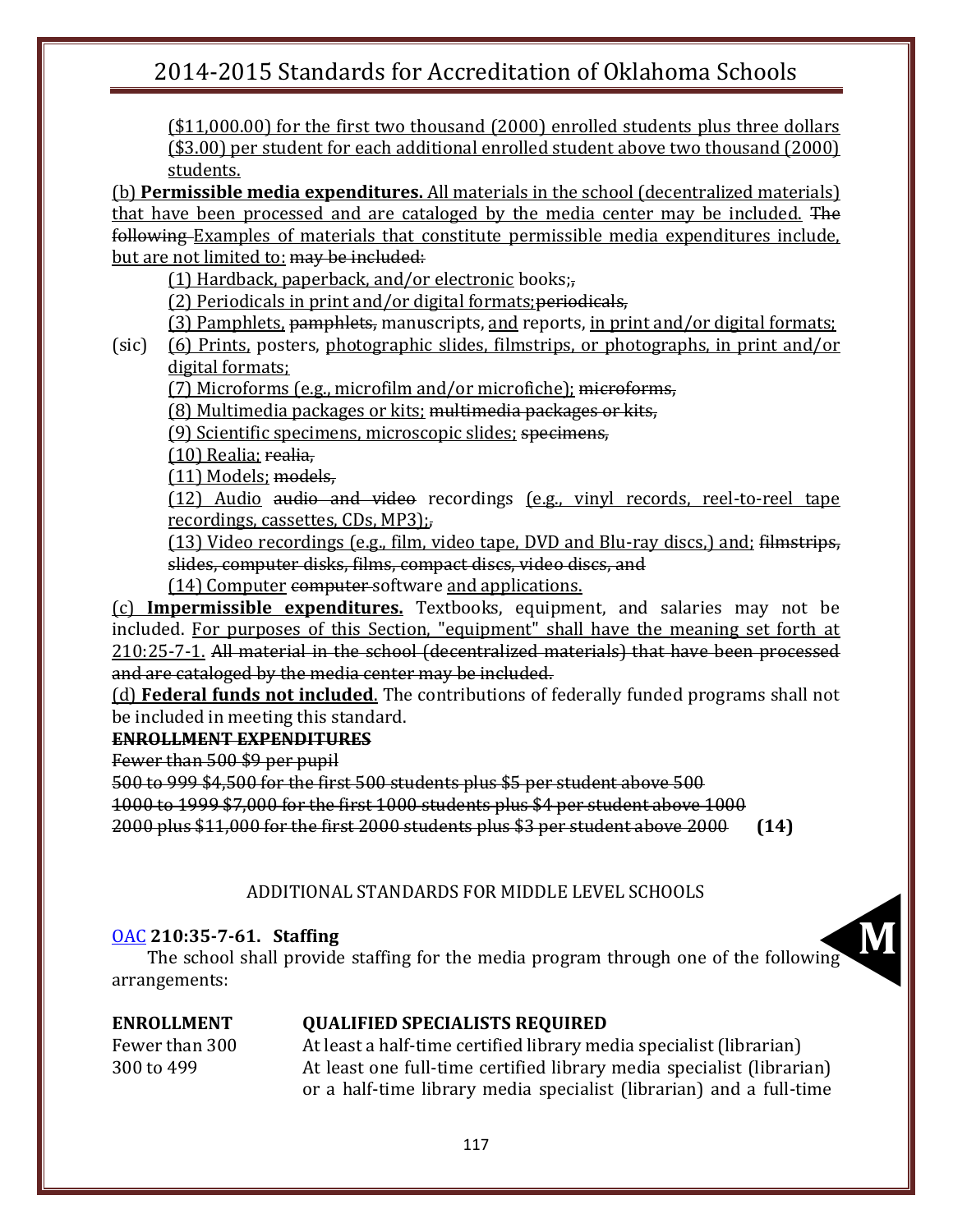(\$11,000.00) for the first two thousand (2000) enrolled students plus three dollars (\$3.00) per student for each additional enrolled student above two thousand (2000) students.

(b) **Permissible media expenditures.** All materials in the school (decentralized materials) that have been processed and are cataloged by the media center may be included. The following Examples of materials that constitute permissible media expenditures include, but are not limited to: may be included:

(1) Hardback, paperback, and/or electronic books;,

(2) Periodicals in print and/or digital formats;periodicals,

(3) Pamphlets, pamphlets, manuscripts, and reports, in print and/or digital formats;

(sic) (6) Prints, posters, photographic slides, filmstrips, or photographs, in print and/or digital formats;

(7) Microforms (e.g., microfilm and/or microfiche); microforms,

(8) Multimedia packages or kits; multimedia packages or kits,

(9) Scientific specimens, microscopic slides; specimens,

(10) Realia; realia,

(11) Models; models,

(12) Audio audio and video recordings (e.g., vinyl records, reel-to-reel tape recordings, cassettes, CDs, MP3);,

(13) Video recordings (e.g., film, video tape, DVD and Blu-ray discs,) and; filmstrips, slides, computer disks, films, compact discs, video discs, and

(14) Computer computer-software and applications.

(c) **Impermissible expenditures.** Textbooks, equipment, and salaries may not be included. For purposes of this Section, "equipment" shall have the meaning set forth at 210:25-7-1. All material in the school (decentralized materials) that have been processed and are cataloged by the media center may be included.

(d) **Federal funds not included**. The contributions of federally funded programs shall not be included in meeting this standard.

### **ENROLLMENT EXPENDITURES**

Fewer than 500 \$9 per pupil

500 to 999 \$4,500 for the first 500 students plus \$5 per student above 500

1000 to 1999 \$7,000 for the first 1000 students plus \$4 per student above 1000

2000 plus \$11,000 for the first 2000 students plus \$3 per student above 2000 **(14)**

### ADDITIONAL STANDARDS FOR MIDDLE LEVEL SCHOOLS

### [OAC](http://www.oar.state.ok.us/oar/codedoc02.nsf/frmMain?OpenFrameSet&Frame=Main&Src=_75tnm2shfcdnm8pb4dthj0chedppmcbq8dtmmak31ctijujrgcln50ob7ckj42tbkdt374obdcli00_) **210:35-7-61. Staffing**

**M** The school shall provide staffing for the media program through one of the following arrangements:

### **ENROLLMENT QUALIFIED SPECIALISTS REQUIRED**

Fewer than 300 At least a half-time certified library media specialist (librarian) 300 to 499 At least one full-time certified library media specialist (librarian) or a half-time library media specialist (librarian) and a full-time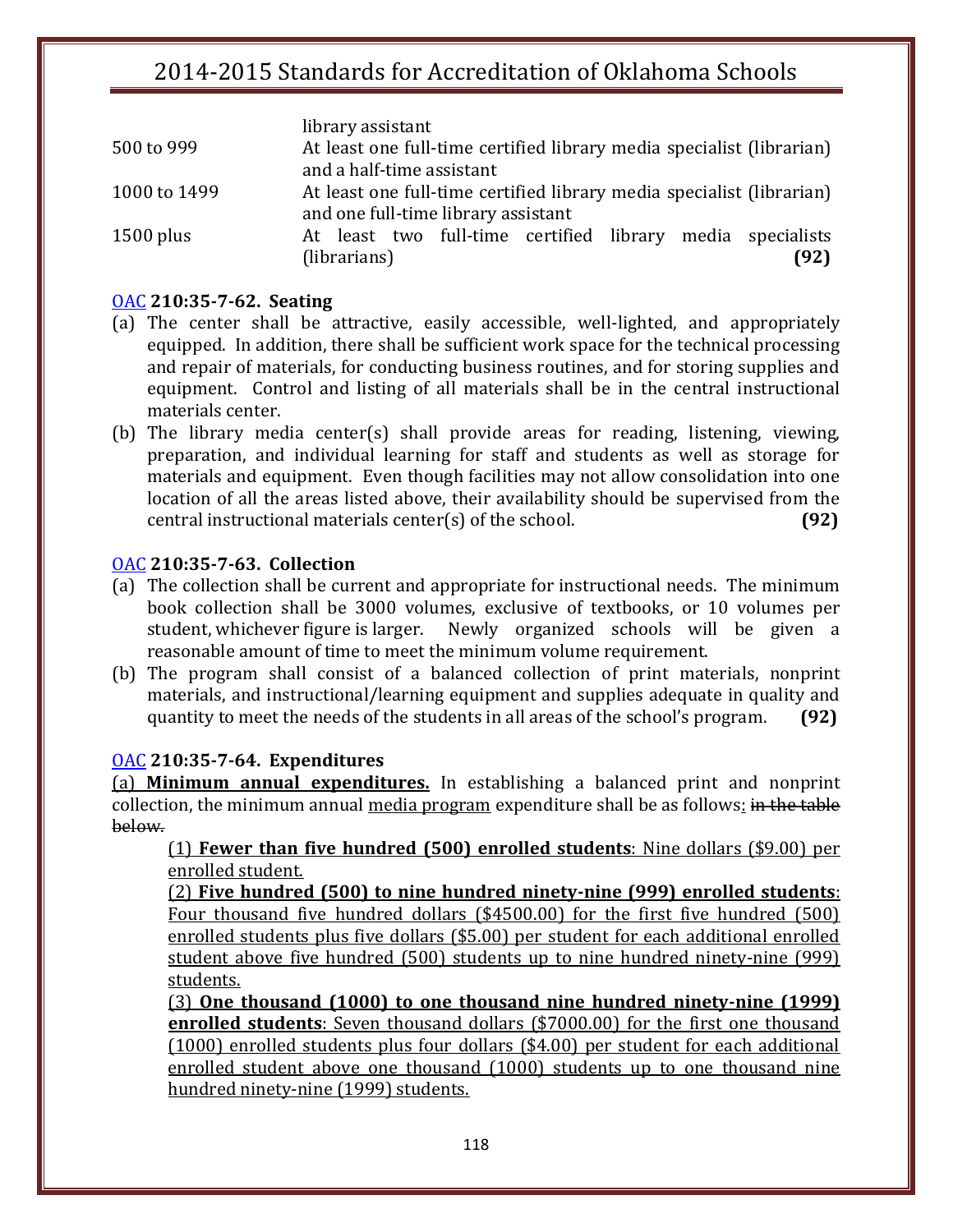|              | library assistant                                                     |
|--------------|-----------------------------------------------------------------------|
| 500 to 999   | At least one full-time certified library media specialist (librarian) |
|              | and a half-time assistant                                             |
| 1000 to 1499 | At least one full-time certified library media specialist (librarian) |
|              | and one full-time library assistant                                   |
| $1500$ plus  | At least two full-time certified library media specialists            |
|              | (librarians)<br>(92)                                                  |

#### [OAC](http://www.oar.state.ok.us/oar/codedoc02.nsf/frmMain?OpenFrameSet&Frame=Main&Src=_75tnm2shfcdnm8pb4dthj0chedppmcbq8dtmmak31ctijujrgcln50ob7ckj42tbkdt374obdcli00_) **210:35-7-62. Seating**

- (a) The center shall be attractive, easily accessible, well-lighted, and appropriately equipped. In addition, there shall be sufficient work space for the technical processing and repair of materials, for conducting business routines, and for storing supplies and equipment. Control and listing of all materials shall be in the central instructional materials center.
- (b) The library media center(s) shall provide areas for reading, listening, viewing, preparation, and individual learning for staff and students as well as storage for materials and equipment. Even though facilities may not allow consolidation into one location of all the areas listed above, their availability should be supervised from the central instructional materials center(s) of the school. **(92)**

### [OAC](http://www.oar.state.ok.us/oar/codedoc02.nsf/frmMain?OpenFrameSet&Frame=Main&Src=_75tnm2shfcdnm8pb4dthj0chedppmcbq8dtmmak31ctijujrgcln50ob7ckj42tbkdt374obdcli00_) **210:35-7-63. Collection**

- (a) The collection shall be current and appropriate for instructional needs. The minimum book collection shall be 3000 volumes, exclusive of textbooks, or 10 volumes per student, whichever figure is larger. Newly organized schools will be given a reasonable amount of time to meet the minimum volume requirement.
- (b) The program shall consist of a balanced collection of print materials, nonprint materials, and instructional/learning equipment and supplies adequate in quality and quantity to meet the needs of the students in all areas of the school's program. **(92)**

### [OAC](http://www.oar.state.ok.us/oar/codedoc02.nsf/frmMain?OpenFrameSet&Frame=Main&Src=_75tnm2shfcdnm8pb4dthj0chedppmcbq8dtmmak31ctijujrgcln50ob7ckj42tbkdt374obdcli00_) **210:35-7-64. Expenditures**

(a) **Minimum annual expenditures.** In establishing a balanced print and nonprint collection, the minimum annual media program expenditure shall be as follows: in the table below.

(1) **Fewer than five hundred (500) enrolled students**: Nine dollars (\$9.00) per enrolled student.

(2) **Five hundred (500) to nine hundred ninety-nine (999) enrolled students**: Four thousand five hundred dollars (\$4500.00) for the first five hundred (500) enrolled students plus five dollars (\$5.00) per student for each additional enrolled student above five hundred (500) students up to nine hundred ninety-nine (999) students.

(3) **One thousand (1000) to one thousand nine hundred ninety-nine (1999) enrolled students**: Seven thousand dollars (\$7000.00) for the first one thousand (1000) enrolled students plus four dollars (\$4.00) per student for each additional enrolled student above one thousand (1000) students up to one thousand nine hundred ninety-nine (1999) students.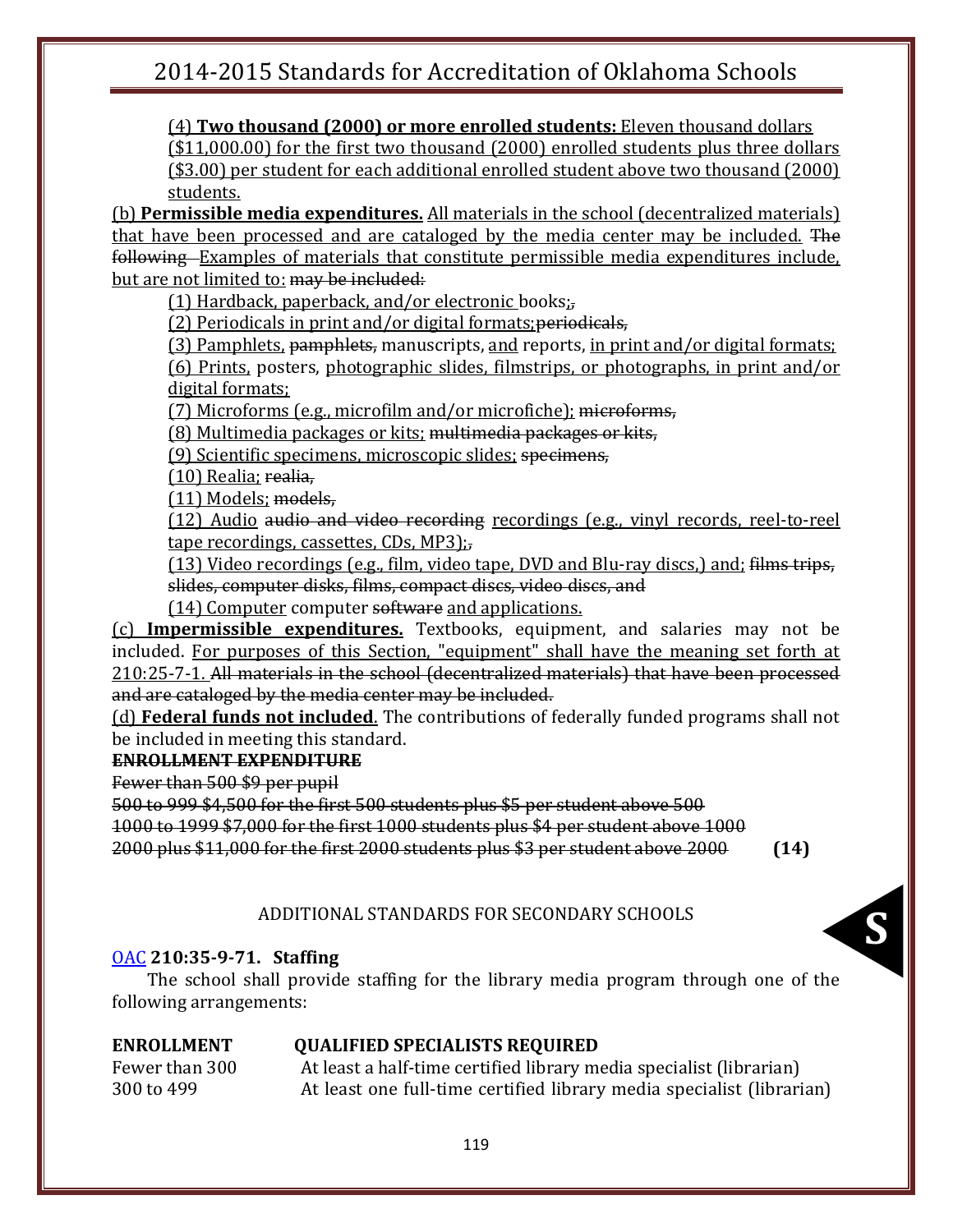(4) **Two thousand (2000) or more enrolled students:** Eleven thousand dollars

(\$11,000.00) for the first two thousand (2000) enrolled students plus three dollars (\$3.00) per student for each additional enrolled student above two thousand (2000) students.

(b) **Permissible media expenditures.** All materials in the school (decentralized materials) that have been processed and are cataloged by the media center may be included. The following Examples of materials that constitute permissible media expenditures include, but are not limited to: may be included:

(1) Hardback, paperback, and/or electronic books;,

(2) Periodicals in print and/or digital formats;periodicals,

(3) Pamphlets, pamphlets, manuscripts, and reports, in print and/or digital formats; (6) Prints, posters, photographic slides, filmstrips, or photographs, in print and/or digital formats;

(7) Microforms (e.g., microfilm and/or microfiche); microforms,

(8) Multimedia packages or kits; multimedia packages or kits,

(9) Scientific specimens, microscopic slides; specimens,

(10) Realia; realia,

(11) Models; models,

(12) Audio audio and video recording recordings (e.g., vinyl records, reel-to-reel tape recordings, cassettes, CDs, MP3);,

(13) Video recordings (e.g., film, video tape, DVD and Blu-ray discs,) and; films trips, slides, computer disks, films, compact discs, video discs, and

(14) Computer computer software and applications.

(c) **Impermissible expenditures.** Textbooks, equipment, and salaries may not be included. For purposes of this Section, "equipment" shall have the meaning set forth at 210:25-7-1. All materials in the school (decentralized materials) that have been processed and are cataloged by the media center may be included.

(d) **Federal funds not included**. The contributions of federally funded programs shall not be included in meeting this standard.

### **ENROLLMENT EXPENDITURE**

Fewer than 500 \$9 per pupil

500 to 999 \$4,500 for the first 500 students plus \$5 per student above 500

1000 to 1999 \$7,000 for the first 1000 students plus \$4 per student above 1000

2000 plus \$11,000 for the first 2000 students plus \$3 per student above 2000 **(14)**

### ADDITIONAL STANDARDS FOR SECONDARY SCHOOLS

### [OAC](http://www.oar.state.ok.us/oar/codedoc02.nsf/frmMain?OpenFrameSet&Frame=Main&Src=_75tnm2shfcdnm8pb4dthj0chedppmcbq8dtmmak31ctijujrgcln50ob7ckj42tbkdt374obdcli00_) **210:35-9-71. Staffing**

the The school shall provide staffing for the library media program through one of the following arrangements:

### **ENROLLMENT QUALIFIED SPECIALISTS REQUIRED**

Fewer than 300 At least a half-time certified library media specialist (librarian) 300 to 499 At least one full-time certified library media specialist (librarian)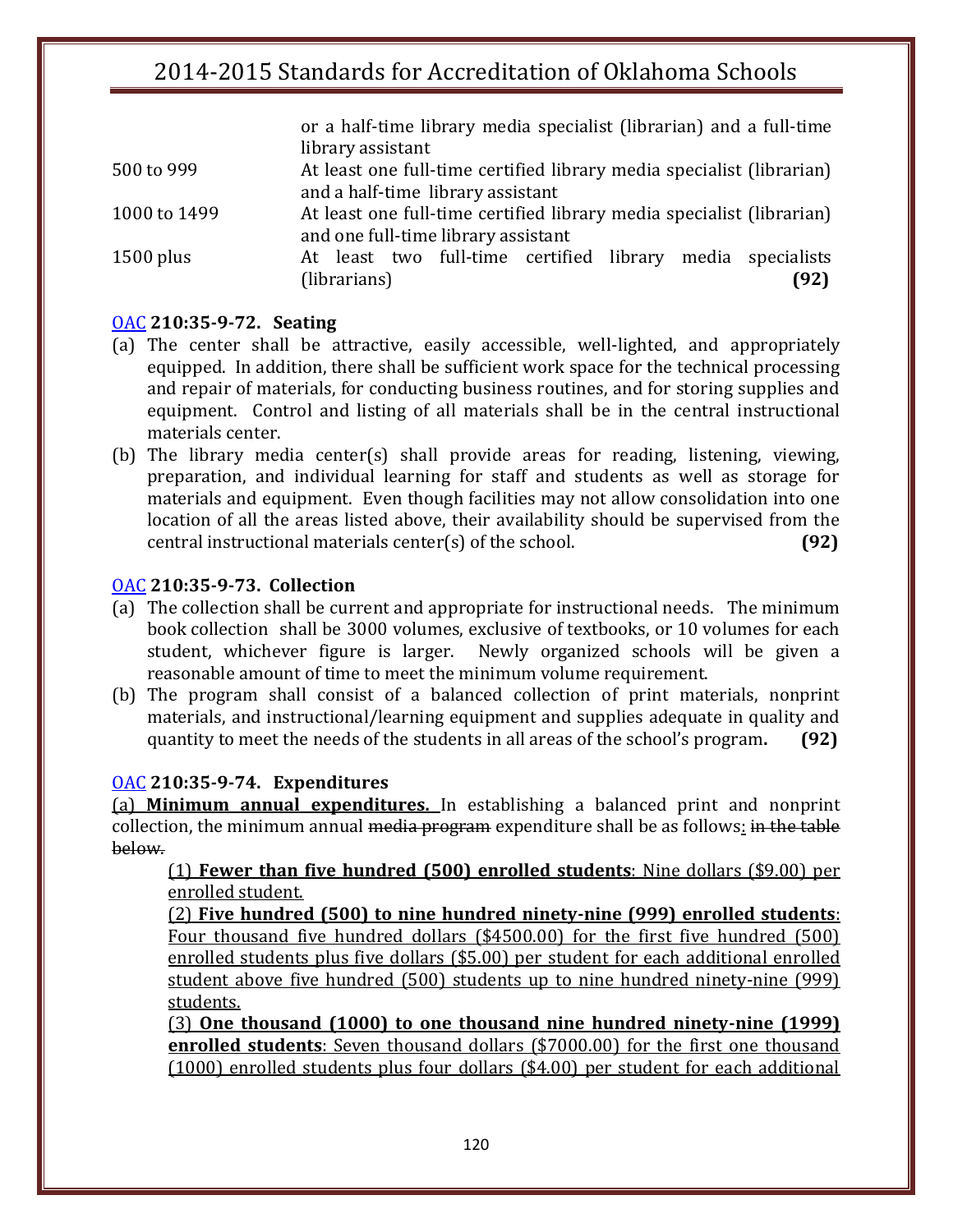or a half-time library media specialist (librarian) and a full-time library assistant

(librarians) **(92)**

| 500 to 999   | At least one full-time certified library media specialist (librarian) |
|--------------|-----------------------------------------------------------------------|
|              | and a half-time library assistant                                     |
| 1000 to 1499 | At least one full-time certified library media specialist (librarian) |
|              | and one full-time library assistant                                   |
| $1500$ plus  | At least two full-time certified library media specialists            |

### [OAC](http://www.oar.state.ok.us/oar/codedoc02.nsf/frmMain?OpenFrameSet&Frame=Main&Src=_75tnm2shfcdnm8pb4dthj0chedppmcbq8dtmmak31ctijujrgcln50ob7ckj42tbkdt374obdcli00_) **210:35-9-72. Seating**

- (a) The center shall be attractive, easily accessible, well-lighted, and appropriately equipped. In addition, there shall be sufficient work space for the technical processing and repair of materials, for conducting business routines, and for storing supplies and equipment. Control and listing of all materials shall be in the central instructional materials center.
- (b) The library media center(s) shall provide areas for reading, listening, viewing, preparation, and individual learning for staff and students as well as storage for materials and equipment. Even though facilities may not allow consolidation into one location of all the areas listed above, their availability should be supervised from the central instructional materials center(s) of the school. **(92)**

### [OAC](http://www.oar.state.ok.us/oar/codedoc02.nsf/frmMain?OpenFrameSet&Frame=Main&Src=_75tnm2shfcdnm8pb4dthj0chedppmcbq8dtmmak31ctijujrgcln50ob7ckj42tbkdt374obdcli00_) **210:35-9-73. Collection**

- (a) The collection shall be current and appropriate for instructional needs. The minimum book collection shall be 3000 volumes, exclusive of textbooks, or 10 volumes for each student, whichever figure is larger. Newly organized schools will be given a reasonable amount of time to meet the minimum volume requirement.
- (b) The program shall consist of a balanced collection of print materials, nonprint materials, and instructional/learning equipment and supplies adequate in quality and quantity to meet the needs of the students in all areas of the school's program**. (92)**

#### [OAC](http://www.oar.state.ok.us/oar/codedoc02.nsf/frmMain?OpenFrameSet&Frame=Main&Src=_75tnm2shfcdnm8pb4dthj0chedppmcbq8dtmmak31ctijujrgcln50ob7ckj42tbkdt374obdcli00_) **210:35-9-74. Expenditures**

(a) **Minimum annual expenditures.** In establishing a balanced print and nonprint collection, the minimum annual media program expenditure shall be as follows: in the table below.

(1) **Fewer than five hundred (500) enrolled students**: Nine dollars (\$9.00) per enrolled student.

(2) **Five hundred (500) to nine hundred ninety-nine (999) enrolled students**: Four thousand five hundred dollars (\$4500.00) for the first five hundred (500) enrolled students plus five dollars (\$5.00) per student for each additional enrolled student above five hundred (500) students up to nine hundred ninety-nine (999) students.

(3) **One thousand (1000) to one thousand nine hundred ninety-nine (1999) enrolled students**: Seven thousand dollars (\$7000.00) for the first one thousand (1000) enrolled students plus four dollars (\$4.00) per student for each additional